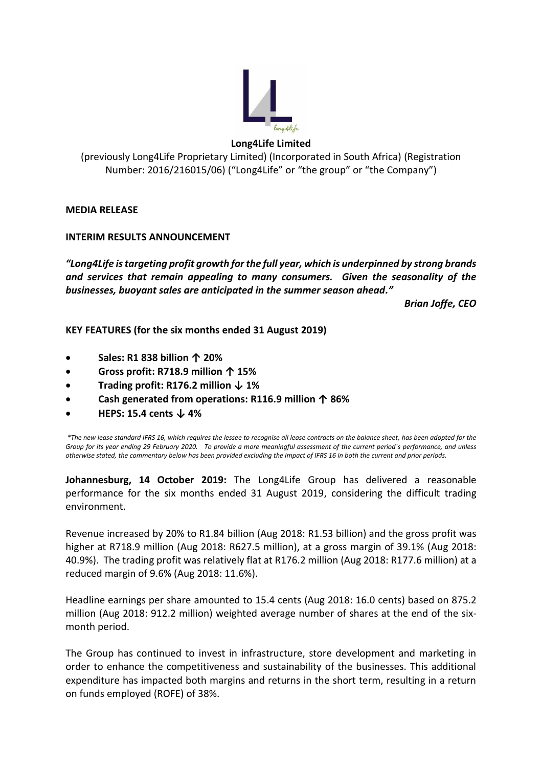

# **Long4Life Limited**

# (previously Long4Life Proprietary Limited) (Incorporated in South Africa) (Registration Number: 2016/216015/06) ("Long4Life" or "the group" or "the Company")

**MEDIA RELEASE** 

# **INTERIM RESULTS ANNOUNCEMENT**

*"Long4Life is targeting profit growth for the full year, which is underpinned by strong brands and services that remain appealing to many consumers. Given the seasonality of the businesses, buoyant sales are anticipated in the summer season ahead."* 

*Brian Joffe, CEO* 

**KEY FEATURES (for the six months ended 31 August 2019)** 

- **Sales: R1 838 billion ↑ 20%**
- **Gross profit: R718.9 million ↑ 15%**
- **Trading profit: R176.2 million ↓ 1%**
- **Cash generated from operations: R116.9 million ↑ 86%**
- **HEPS: 15.4 cents ↓ 4%**

*\*The new lease standard IFRS 16, which requires the lessee to recognise all lease contracts on the balance sheet, has been adopted for the Group for its year ending 29 February 2020. To provide a more meaningful assessment of the current period´s performance, and unless otherwise stated, the commentary below has been provided excluding the impact of IFRS 16 in both the current and prior periods.*

**Johannesburg, 14 October 2019:** The Long4Life Group has delivered a reasonable performance for the six months ended 31 August 2019, considering the difficult trading environment.

Revenue increased by 20% to R1.84 billion (Aug 2018: R1.53 billion) and the gross profit was higher at R718.9 million (Aug 2018: R627.5 million), at a gross margin of 39.1% (Aug 2018: 40.9%). The trading profit was relatively flat at R176.2 million (Aug 2018: R177.6 million) at a reduced margin of 9.6% (Aug 2018: 11.6%).

Headline earnings per share amounted to 15.4 cents (Aug 2018: 16.0 cents) based on 875.2 million (Aug 2018: 912.2 million) weighted average number of shares at the end of the sixmonth period.

The Group has continued to invest in infrastructure, store development and marketing in order to enhance the competitiveness and sustainability of the businesses. This additional expenditure has impacted both margins and returns in the short term, resulting in a return on funds employed (ROFE) of 38%.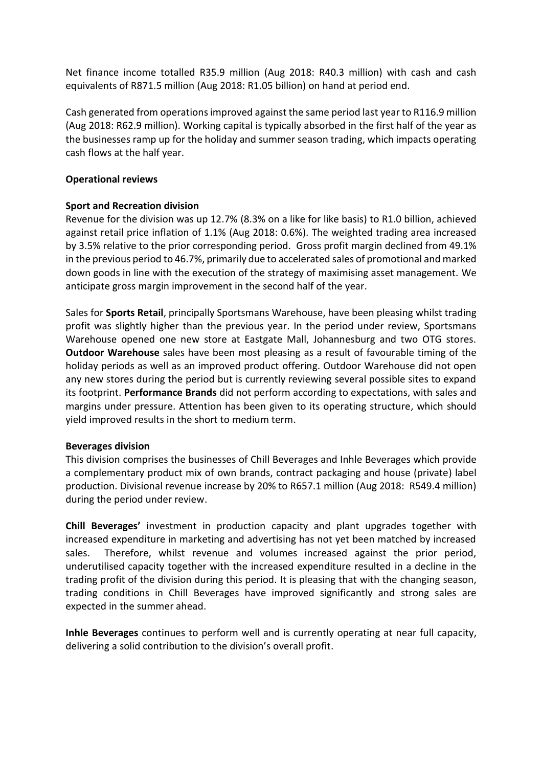Net finance income totalled R35.9 million (Aug 2018: R40.3 million) with cash and cash equivalents of R871.5 million (Aug 2018: R1.05 billion) on hand at period end.

Cash generated from operations improved against the same period last year to R116.9 million (Aug 2018: R62.9 million). Working capital is typically absorbed in the first half of the year as the businesses ramp up for the holiday and summer season trading, which impacts operating cash flows at the half year.

### **Operational reviews**

# **Sport and Recreation division**

Revenue for the division was up 12.7% (8.3% on a like for like basis) to R1.0 billion, achieved against retail price inflation of 1.1% (Aug 2018: 0.6%). The weighted trading area increased by 3.5% relative to the prior corresponding period. Gross profit margin declined from 49.1% in the previous period to 46.7%, primarily due to accelerated sales of promotional and marked down goods in line with the execution of the strategy of maximising asset management. We anticipate gross margin improvement in the second half of the year.

Sales for **Sports Retail**, principally Sportsmans Warehouse, have been pleasing whilst trading profit was slightly higher than the previous year. In the period under review, Sportsmans Warehouse opened one new store at Eastgate Mall, Johannesburg and two OTG stores. **Outdoor Warehouse** sales have been most pleasing as a result of favourable timing of the holiday periods as well as an improved product offering. Outdoor Warehouse did not open any new stores during the period but is currently reviewing several possible sites to expand its footprint. **Performance Brands** did not perform according to expectations, with sales and margins under pressure. Attention has been given to its operating structure, which should yield improved results in the short to medium term.

### **Beverages division**

This division comprises the businesses of Chill Beverages and Inhle Beverages which provide a complementary product mix of own brands, contract packaging and house (private) label production. Divisional revenue increase by 20% to R657.1 million (Aug 2018: R549.4 million) during the period under review.

**Chill Beverages'** investment in production capacity and plant upgrades together with increased expenditure in marketing and advertising has not yet been matched by increased sales. Therefore, whilst revenue and volumes increased against the prior period, underutilised capacity together with the increased expenditure resulted in a decline in the trading profit of the division during this period. It is pleasing that with the changing season, trading conditions in Chill Beverages have improved significantly and strong sales are expected in the summer ahead.

**Inhle Beverages** continues to perform well and is currently operating at near full capacity, delivering a solid contribution to the division's overall profit.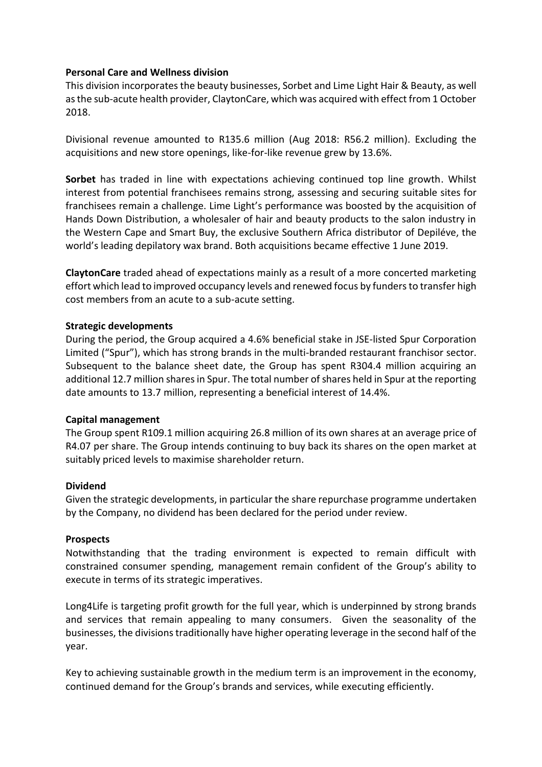### **Personal Care and Wellness division**

This division incorporates the beauty businesses, Sorbet and Lime Light Hair & Beauty, as well as the sub-acute health provider, ClaytonCare, which was acquired with effect from 1 October 2018.

Divisional revenue amounted to R135.6 million (Aug 2018: R56.2 million). Excluding the acquisitions and new store openings, like-for-like revenue grew by 13.6%.

**Sorbet** has traded in line with expectations achieving continued top line growth. Whilst interest from potential franchisees remains strong, assessing and securing suitable sites for franchisees remain a challenge. Lime Light's performance was boosted by the acquisition of Hands Down Distribution, a wholesaler of hair and beauty products to the salon industry in the Western Cape and Smart Buy, the exclusive Southern Africa distributor of Depiléve, the world's leading depilatory wax brand. Both acquisitions became effective 1 June 2019.

**ClaytonCare** traded ahead of expectations mainly as a result of a more concerted marketing effort which lead to improved occupancy levels and renewed focus by funders to transfer high cost members from an acute to a sub-acute setting.

# **Strategic developments**

During the period, the Group acquired a 4.6% beneficial stake in JSE-listed Spur Corporation Limited ("Spur"), which has strong brands in the multi-branded restaurant franchisor sector. Subsequent to the balance sheet date, the Group has spent R304.4 million acquiring an additional 12.7 million shares in Spur. The total number of shares held in Spur at the reporting date amounts to 13.7 million, representing a beneficial interest of 14.4%.

### **Capital management**

The Group spent R109.1 million acquiring 26.8 million of its own shares at an average price of R4.07 per share. The Group intends continuing to buy back its shares on the open market at suitably priced levels to maximise shareholder return.

### **Dividend**

Given the strategic developments, in particular the share repurchase programme undertaken by the Company, no dividend has been declared for the period under review.

### **Prospects**

Notwithstanding that the trading environment is expected to remain difficult with constrained consumer spending, management remain confident of the Group's ability to execute in terms of its strategic imperatives.

Long4Life is targeting profit growth for the full year, which is underpinned by strong brands and services that remain appealing to many consumers. Given the seasonality of the businesses, the divisions traditionally have higher operating leverage in the second half of the year.

Key to achieving sustainable growth in the medium term is an improvement in the economy, continued demand for the Group's brands and services, while executing efficiently.